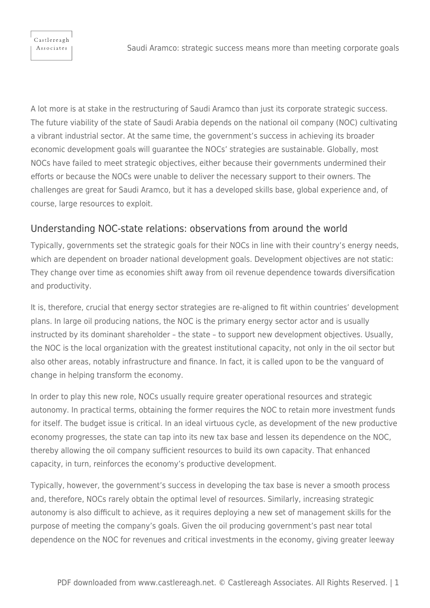Saudi Aramco: strategic success means more than meeting corporate goals

A lot more is at stake in the restructuring of Saudi Aramco than just its corporate strategic success. The future viability of the state of Saudi Arabia depends on the national oil company (NOC) cultivating a vibrant industrial sector. At the same time, the government's success in achieving its broader economic development goals will guarantee the NOCs' strategies are sustainable. Globally, most NOCs have failed to meet strategic objectives, either because their governments undermined their efforts or because the NOCs were unable to deliver the necessary support to their owners. The challenges are great for Saudi Aramco, but it has a developed skills base, global experience and, of course, large resources to exploit.

## Understanding NOC-state relations: observations from around the world

Typically, governments set the strategic goals for their NOCs in line with their country's energy needs, which are dependent on broader national development goals. Development objectives are not static: They change over time as economies shift away from oil revenue dependence towards diversification and productivity.

It is, therefore, crucial that energy sector strategies are re-aligned to fit within countries' development plans. In large oil producing nations, the NOC is the primary energy sector actor and is usually instructed by its dominant shareholder – the state – to support new development objectives. Usually, the NOC is the local organization with the greatest institutional capacity, not only in the oil sector but also other areas, notably infrastructure and finance. In fact, it is called upon to be the vanguard of change in helping transform the economy.

In order to play this new role, NOCs usually require greater operational resources and strategic autonomy. In practical terms, obtaining the former requires the NOC to retain more investment funds for itself. The budget issue is critical. In an ideal virtuous cycle, as development of the new productive economy progresses, the state can tap into its new tax base and lessen its dependence on the NOC, thereby allowing the oil company sufficient resources to build its own capacity. That enhanced capacity, in turn, reinforces the economy's productive development.

Typically, however, the government's success in developing the tax base is never a smooth process and, therefore, NOCs rarely obtain the optimal level of resources. Similarly, increasing strategic autonomy is also difficult to achieve, as it requires deploying a new set of management skills for the purpose of meeting the company's goals. Given the oil producing government's past near total dependence on the NOC for revenues and critical investments in the economy, giving greater leeway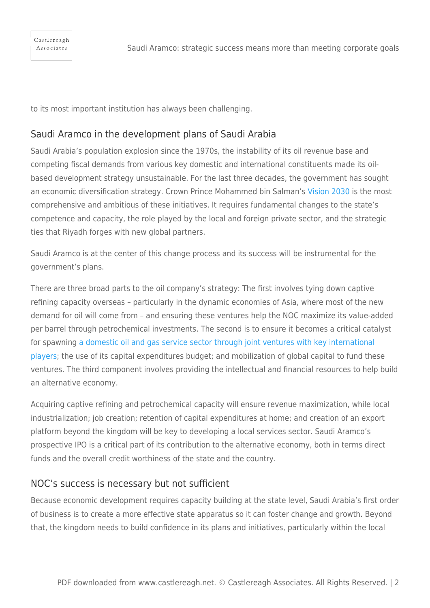to its most important institution has always been challenging.

## Saudi Aramco in the development plans of Saudi Arabia

Saudi Arabia's population explosion since the 1970s, the instability of its oil revenue base and competing fiscal demands from various key domestic and international constituents made its oilbased development strategy unsustainable. For the last three decades, the government has sought an economic diversification strategy. Crown Prince Mohammed bin Salman's [Vision 2030](https://castlereagh.net/uae-saudi-arabia-economic-diversification-through-smart-tech/) is the most comprehensive and ambitious of these initiatives. It requires fundamental changes to the state's competence and capacity, the role played by the local and foreign private sector, and the strategic ties that Riyadh forges with new global partners.

Saudi Aramco is at the center of this change process and its success will be instrumental for the government's plans.

There are three broad parts to the oil company's strategy: The first involves tying down captive refining capacity overseas – particularly in the dynamic economies of Asia, where most of the new demand for oil will come from – and ensuring these ventures help the NOC maximize its value-added per barrel through petrochemical investments. The second is to ensure it becomes a critical catalyst for spawning [a domestic oil and gas service sector through joint ventures with key international](https://castlereagh.net/middle-east-gas-players-weigh-up-how-to-deal-with-the-us-lng-surge/) [players;](https://castlereagh.net/middle-east-gas-players-weigh-up-how-to-deal-with-the-us-lng-surge/) the use of its capital expenditures budget; and mobilization of global capital to fund these ventures. The third component involves providing the intellectual and financial resources to help build an alternative economy.

Acquiring captive refining and petrochemical capacity will ensure revenue maximization, while local industrialization; job creation; retention of capital expenditures at home; and creation of an export platform beyond the kingdom will be key to developing a local services sector. Saudi Aramco's prospective IPO is a critical part of its contribution to the alternative economy, both in terms direct funds and the overall credit worthiness of the state and the country.

## NOC's success is necessary but not sufficient

Because economic development requires capacity building at the state level, Saudi Arabia's first order of business is to create a more effective state apparatus so it can foster change and growth. Beyond that, the kingdom needs to build confidence in its plans and initiatives, particularly within the local